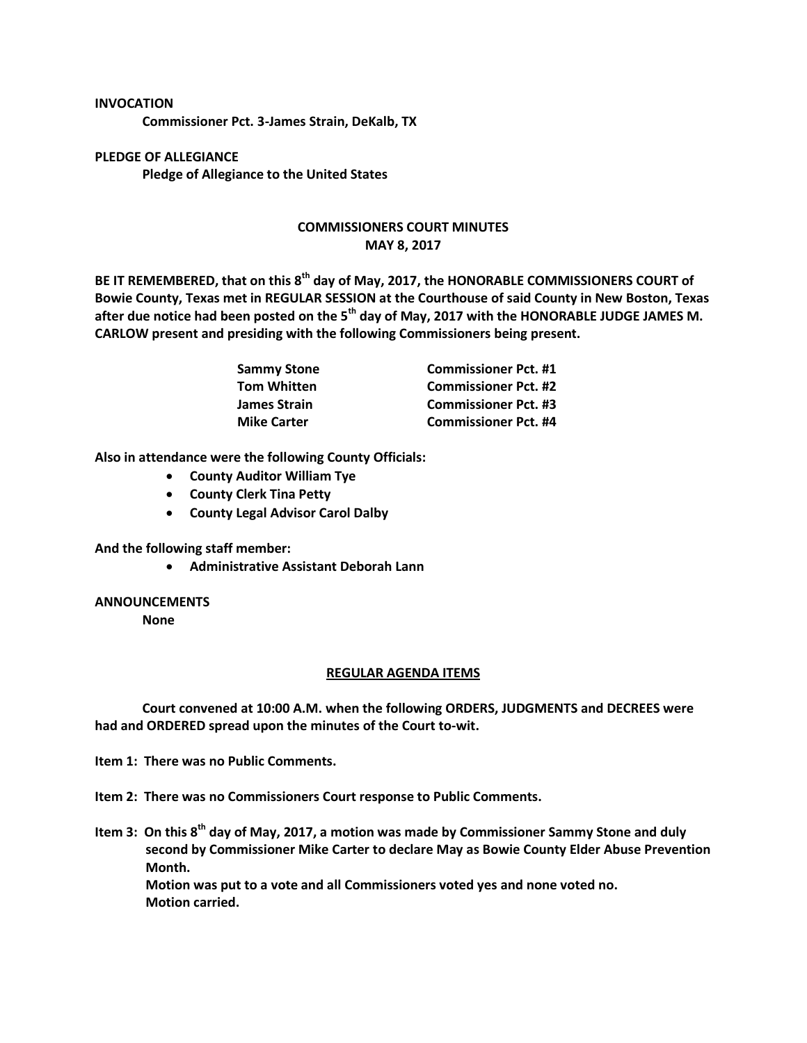## **INVOCATION**

**Commissioner Pct. 3-James Strain, DeKalb, TX**

**PLEDGE OF ALLEGIANCE Pledge of Allegiance to the United States**

## **COMMISSIONERS COURT MINUTES MAY 8, 2017**

**BE IT REMEMBERED, that on this 8th day of May, 2017, the HONORABLE COMMISSIONERS COURT of Bowie County, Texas met in REGULAR SESSION at the Courthouse of said County in New Boston, Texas after due notice had been posted on the 5th day of May, 2017 with the HONORABLE JUDGE JAMES M. CARLOW present and presiding with the following Commissioners being present.**

| Sammy Stone<br>Tom Whitten | <b>Commissioner Pct. #1</b> |
|----------------------------|-----------------------------|
|                            | <b>Commissioner Pct. #2</b> |
| James Strain               | <b>Commissioner Pct. #3</b> |
| <b>Mike Carter</b>         | <b>Commissioner Pct. #4</b> |

**Also in attendance were the following County Officials:**

- **County Auditor William Tye**
- **County Clerk Tina Petty**
- **County Legal Advisor Carol Dalby**

**And the following staff member:**

**Administrative Assistant Deborah Lann**

## **ANNOUNCEMENTS**

**None**

## **REGULAR AGENDA ITEMS**

**Court convened at 10:00 A.M. when the following ORDERS, JUDGMENTS and DECREES were had and ORDERED spread upon the minutes of the Court to-wit.**

**Item 1: There was no Public Comments.**

**Item 2: There was no Commissioners Court response to Public Comments.**

**Item 3: On this 8th day of May, 2017, a motion was made by Commissioner Sammy Stone and duly second by Commissioner Mike Carter to declare May as Bowie County Elder Abuse Prevention Month.**

**Motion was put to a vote and all Commissioners voted yes and none voted no. Motion carried.**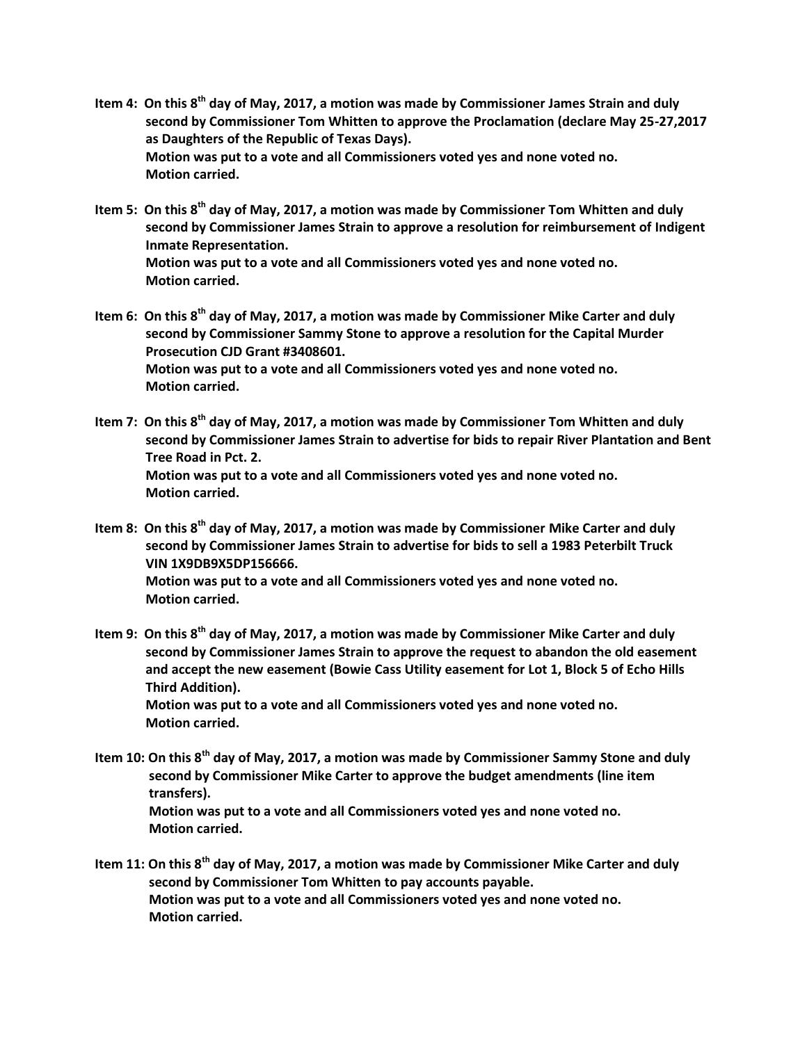- **Item 4: On this 8th day of May, 2017, a motion was made by Commissioner James Strain and duly second by Commissioner Tom Whitten to approve the Proclamation (declare May 25-27,2017 as Daughters of the Republic of Texas Days). Motion was put to a vote and all Commissioners voted yes and none voted no. Motion carried.**
- **Item 5: On this 8 th day of May, 2017, a motion was made by Commissioner Tom Whitten and duly second by Commissioner James Strain to approve a resolution for reimbursement of Indigent Inmate Representation. Motion was put to a vote and all Commissioners voted yes and none voted no. Motion carried.**
- **Item 6: On this 8th day of May, 2017, a motion was made by Commissioner Mike Carter and duly second by Commissioner Sammy Stone to approve a resolution for the Capital Murder Prosecution CJD Grant #3408601. Motion was put to a vote and all Commissioners voted yes and none voted no. Motion carried.**
- **Item 7: On this 8th day of May, 2017, a motion was made by Commissioner Tom Whitten and duly second by Commissioner James Strain to advertise for bids to repair River Plantation and Bent Tree Road in Pct. 2. Motion was put to a vote and all Commissioners voted yes and none voted no. Motion carried.**
- Item 8: On this 8<sup>th</sup> day of May, 2017, a motion was made by Commissioner Mike Carter and duly **second by Commissioner James Strain to advertise for bids to sell a 1983 Peterbilt Truck VIN 1X9DB9X5DP156666. Motion was put to a vote and all Commissioners voted yes and none voted no. Motion carried.**
- **Item 9: On this 8th day of May, 2017, a motion was made by Commissioner Mike Carter and duly second by Commissioner James Strain to approve the request to abandon the old easement and accept the new easement (Bowie Cass Utility easement for Lot 1, Block 5 of Echo Hills Third Addition). Motion was put to a vote and all Commissioners voted yes and none voted no. Motion carried.**
- **Item 10: On this 8th day of May, 2017, a motion was made by Commissioner Sammy Stone and duly second by Commissioner Mike Carter to approve the budget amendments (line item transfers). Motion was put to a vote and all Commissioners voted yes and none voted no. Motion carried.**
- **Item 11: On this 8th day of May, 2017, a motion was made by Commissioner Mike Carter and duly second by Commissioner Tom Whitten to pay accounts payable. Motion was put to a vote and all Commissioners voted yes and none voted no. Motion carried.**